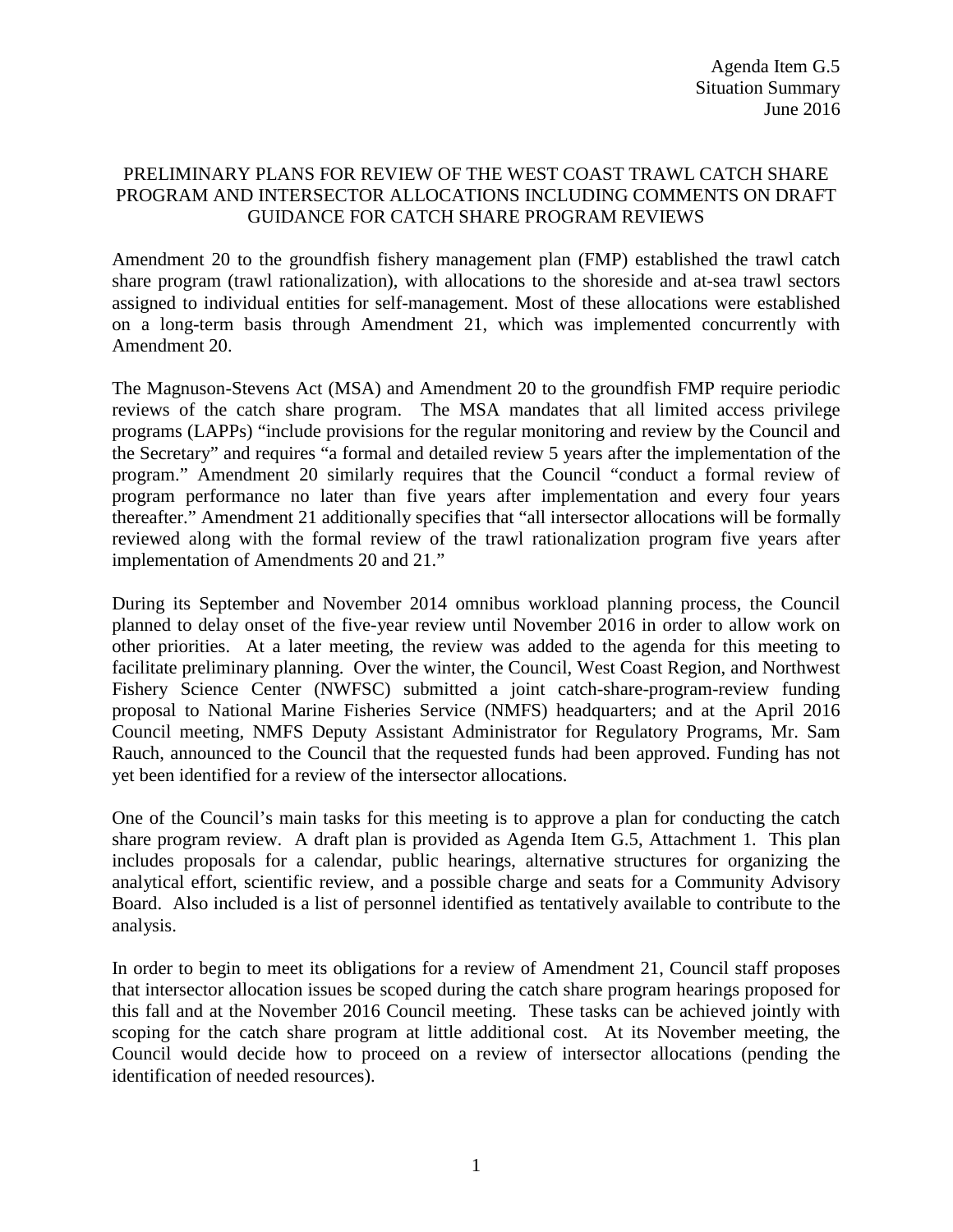## PRELIMINARY PLANS FOR REVIEW OF THE WEST COAST TRAWL CATCH SHARE PROGRAM AND INTERSECTOR ALLOCATIONS INCLUDING COMMENTS ON DRAFT GUIDANCE FOR CATCH SHARE PROGRAM REVIEWS

Amendment 20 to the groundfish fishery management plan (FMP) established the trawl catch share program (trawl rationalization), with allocations to the shoreside and at-sea trawl sectors assigned to individual entities for self-management. Most of these allocations were established on a long-term basis through Amendment 21, which was implemented concurrently with Amendment 20.

The Magnuson-Stevens Act (MSA) and Amendment 20 to the groundfish FMP require periodic reviews of the catch share program. The MSA mandates that all limited access privilege programs (LAPPs) "include provisions for the regular monitoring and review by the Council and the Secretary" and requires "a formal and detailed review 5 years after the implementation of the program." Amendment 20 similarly requires that the Council "conduct a formal review of program performance no later than five years after implementation and every four years thereafter." Amendment 21 additionally specifies that "all intersector allocations will be formally reviewed along with the formal review of the trawl rationalization program five years after implementation of Amendments 20 and 21."

During its September and November 2014 omnibus workload planning process, the Council planned to delay onset of the five-year review until November 2016 in order to allow work on other priorities. At a later meeting, the review was added to the agenda for this meeting to facilitate preliminary planning. Over the winter, the Council, West Coast Region, and Northwest Fishery Science Center (NWFSC) submitted a joint catch-share-program-review funding proposal to National Marine Fisheries Service (NMFS) headquarters; and at the April 2016 Council meeting, NMFS Deputy Assistant Administrator for Regulatory Programs, Mr. Sam Rauch, announced to the Council that the requested funds had been approved. Funding has not yet been identified for a review of the intersector allocations.

One of the Council's main tasks for this meeting is to approve a plan for conducting the catch share program review. A draft plan is provided as Agenda Item G.5, Attachment 1. This plan includes proposals for a calendar, public hearings, alternative structures for organizing the analytical effort, scientific review, and a possible charge and seats for a Community Advisory Board. Also included is a list of personnel identified as tentatively available to contribute to the analysis.

In order to begin to meet its obligations for a review of Amendment 21, Council staff proposes that intersector allocation issues be scoped during the catch share program hearings proposed for this fall and at the November 2016 Council meeting. These tasks can be achieved jointly with scoping for the catch share program at little additional cost. At its November meeting, the Council would decide how to proceed on a review of intersector allocations (pending the identification of needed resources).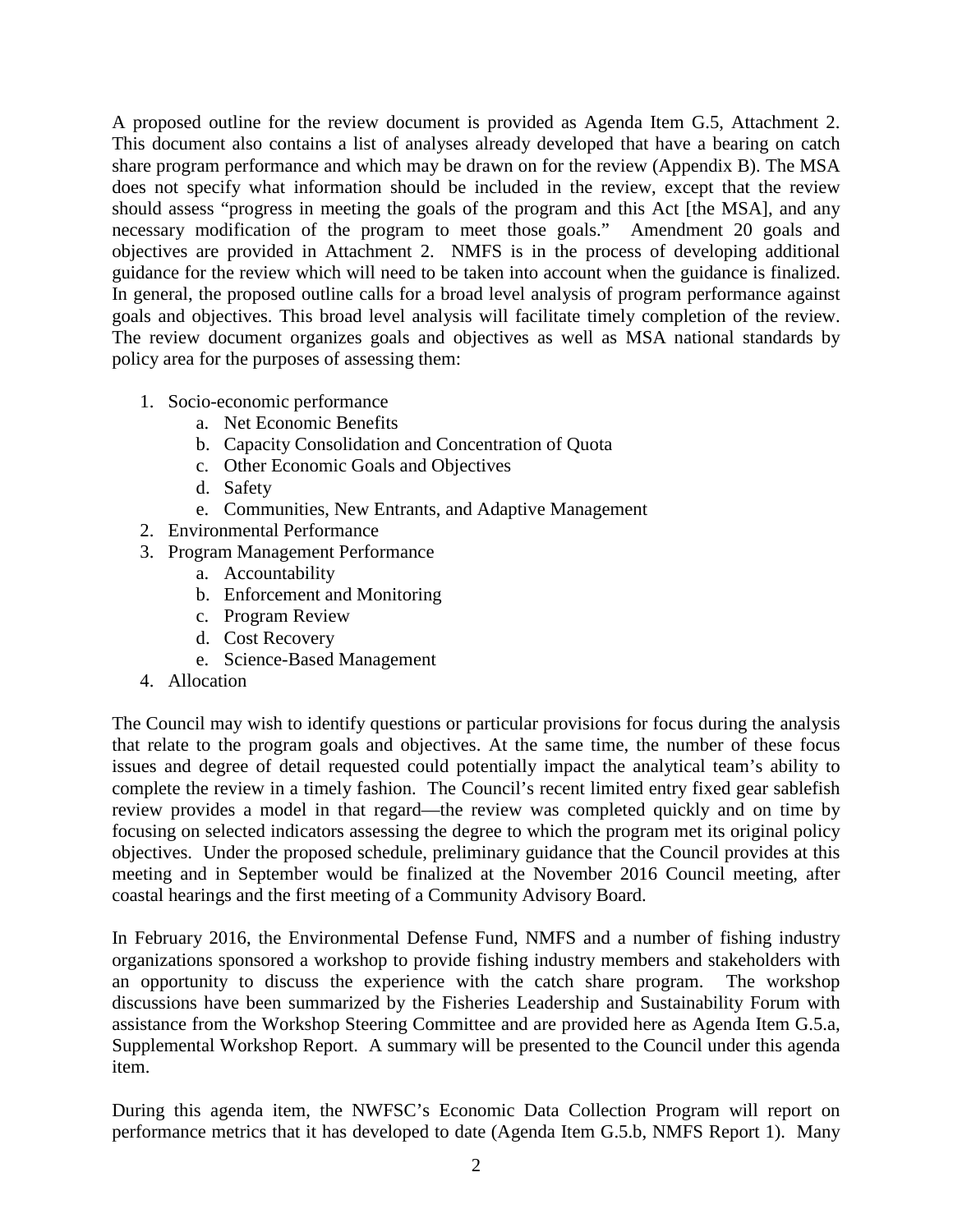A proposed outline for the review document is provided as Agenda Item G.5, Attachment 2. This document also contains a list of analyses already developed that have a bearing on catch share program performance and which may be drawn on for the review (Appendix B). The MSA does not specify what information should be included in the review, except that the review should assess "progress in meeting the goals of the program and this Act [the MSA], and any necessary modification of the program to meet those goals." Amendment 20 goals and objectives are provided in Attachment 2. NMFS is in the process of developing additional guidance for the review which will need to be taken into account when the guidance is finalized. In general, the proposed outline calls for a broad level analysis of program performance against goals and objectives. This broad level analysis will facilitate timely completion of the review. The review document organizes goals and objectives as well as MSA national standards by policy area for the purposes of assessing them:

- 1. Socio-economic performance
	- a. Net Economic Benefits
	- b. Capacity Consolidation and Concentration of Quota
	- c. Other Economic Goals and Objectives
	- d. Safety
	- e. Communities, New Entrants, and Adaptive Management
- 2. Environmental Performance
- 3. Program Management Performance
	- a. Accountability
	- b. Enforcement and Monitoring
	- c. Program Review
	- d. Cost Recovery
	- e. Science-Based Management
- 4. Allocation

The Council may wish to identify questions or particular provisions for focus during the analysis that relate to the program goals and objectives. At the same time, the number of these focus issues and degree of detail requested could potentially impact the analytical team's ability to complete the review in a timely fashion. The Council's recent limited entry fixed gear sablefish review provides a model in that regard—the review was completed quickly and on time by focusing on selected indicators assessing the degree to which the program met its original policy objectives. Under the proposed schedule, preliminary guidance that the Council provides at this meeting and in September would be finalized at the November 2016 Council meeting, after coastal hearings and the first meeting of a Community Advisory Board.

In February 2016, the Environmental Defense Fund, NMFS and a number of fishing industry organizations sponsored a workshop to provide fishing industry members and stakeholders with an opportunity to discuss the experience with the catch share program. The workshop discussions have been summarized by the Fisheries Leadership and Sustainability Forum with assistance from the Workshop Steering Committee and are provided here as Agenda Item G.5.a, Supplemental Workshop Report. A summary will be presented to the Council under this agenda item.

During this agenda item, the NWFSC's Economic Data Collection Program will report on performance metrics that it has developed to date (Agenda Item G.5.b, NMFS Report 1). Many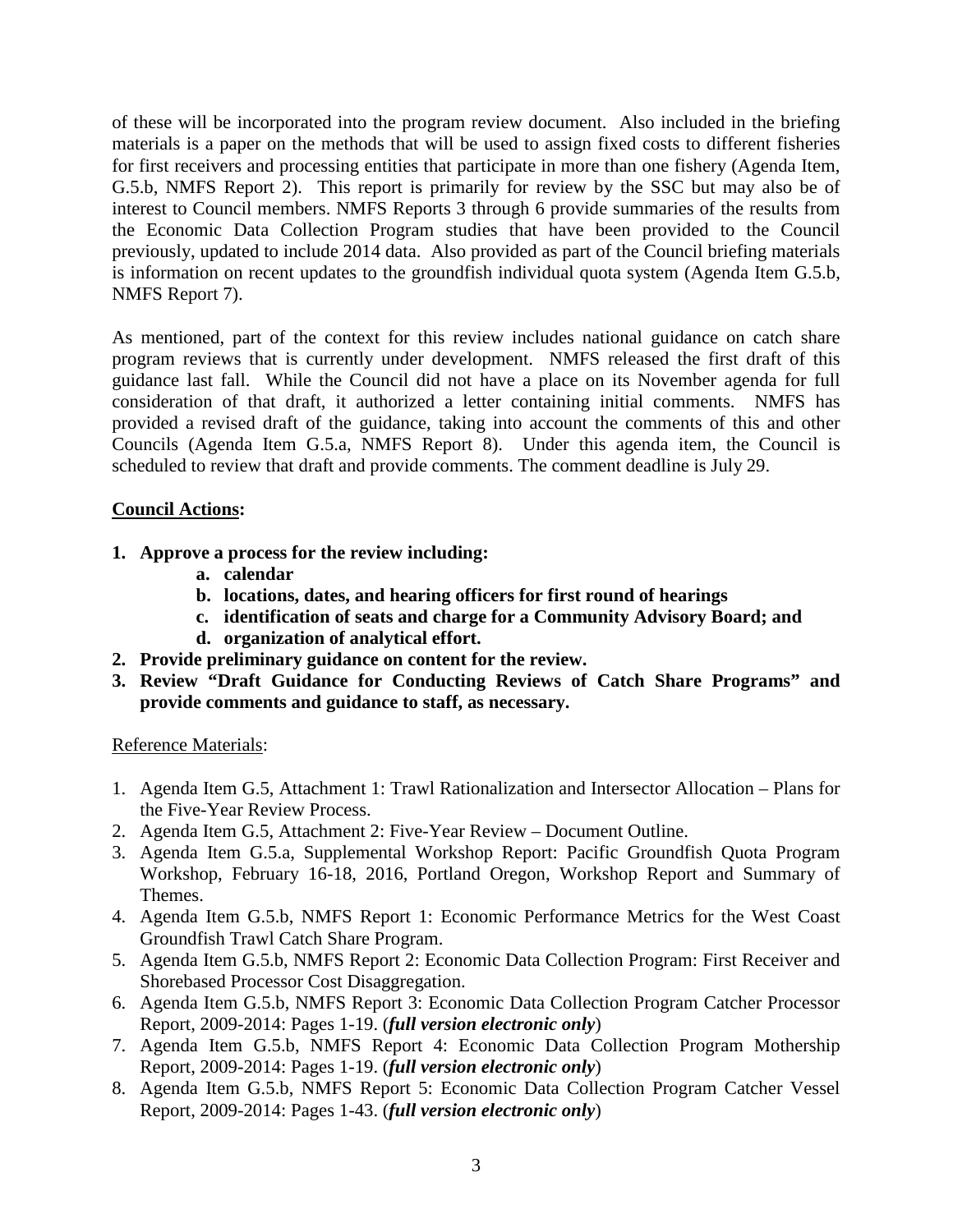of these will be incorporated into the program review document. Also included in the briefing materials is a paper on the methods that will be used to assign fixed costs to different fisheries for first receivers and processing entities that participate in more than one fishery (Agenda Item, G.5.b, NMFS Report 2). This report is primarily for review by the SSC but may also be of interest to Council members. NMFS Reports 3 through 6 provide summaries of the results from the Economic Data Collection Program studies that have been provided to the Council previously, updated to include 2014 data. Also provided as part of the Council briefing materials is information on recent updates to the groundfish individual quota system (Agenda Item G.5.b, NMFS Report 7).

As mentioned, part of the context for this review includes national guidance on catch share program reviews that is currently under development. NMFS released the first draft of this guidance last fall. While the Council did not have a place on its November agenda for full consideration of that draft, it authorized a letter containing initial comments. NMFS has provided a revised draft of the guidance, taking into account the comments of this and other Councils (Agenda Item G.5.a, NMFS Report 8). Under this agenda item, the Council is scheduled to review that draft and provide comments. The comment deadline is July 29.

## **Council Actions:**

- **1. Approve a process for the review including:**
	- **a. calendar**
	- **b. locations, dates, and hearing officers for first round of hearings**
	- **c. identification of seats and charge for a Community Advisory Board; and**
	- **d. organization of analytical effort.**
- **2. Provide preliminary guidance on content for the review.**
- **3. Review "Draft Guidance for Conducting Reviews of Catch Share Programs" and provide comments and guidance to staff, as necessary.**

## Reference Materials:

- 1. Agenda Item G.5, Attachment 1: Trawl Rationalization and Intersector Allocation Plans for the Five-Year Review Process.
- 2. Agenda Item G.5, Attachment 2: Five-Year Review Document Outline.
- 3. Agenda Item G.5.a, Supplemental Workshop Report: Pacific Groundfish Quota Program Workshop, February 16-18, 2016, Portland Oregon, Workshop Report and Summary of Themes.
- 4. Agenda Item G.5.b, NMFS Report 1: Economic Performance Metrics for the West Coast Groundfish Trawl Catch Share Program.
- 5. Agenda Item G.5.b, NMFS Report 2: Economic Data Collection Program: First Receiver and Shorebased Processor Cost Disaggregation.
- 6. Agenda Item G.5.b, NMFS Report 3: Economic Data Collection Program Catcher Processor Report, 2009-2014: Pages 1-19. (*full version electronic only*)
- 7. Agenda Item G.5.b, NMFS Report 4: Economic Data Collection Program Mothership Report, 2009-2014: Pages 1-19. (*full version electronic only*)
- 8. Agenda Item G.5.b, NMFS Report 5: Economic Data Collection Program Catcher Vessel Report, 2009-2014: Pages 1-43. (*full version electronic only*)